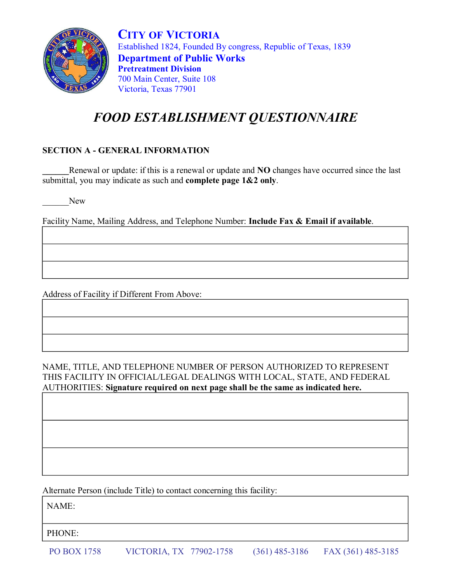

**CITY OF VICTORIA** Established 1824, Founded By congress, Republic of Texas, 1839 **Department of Public Works Pretreatment Division** 700 Main Center, Suite 108 Victoria, Texas 77901

# *FOOD ESTABLISHMENT QUESTIONNAIRE*

### **SECTION A - GENERAL INFORMATION**

**\_\_\_\_\_\_**Renewal or update: if this is a renewal or update and **NO** changes have occurred since the last submittal, you may indicate as such and **complete page 1&2 only**.

New

Facility Name, Mailing Address, and Telephone Number: **Include Fax & Email if available**.

Address of Facility if Different From Above:

NAME, TITLE, AND TELEPHONE NUMBER OF PERSON AUTHORIZED TO REPRESENT THIS FACILITY IN OFFICIAL/LEGAL DEALINGS WITH LOCAL, STATE, AND FEDERAL AUTHORITIES: **Signature required on next page shall be the same as indicated here.**

Alternate Person (include Title) to contact concerning this facility:

NAME:

PHONE: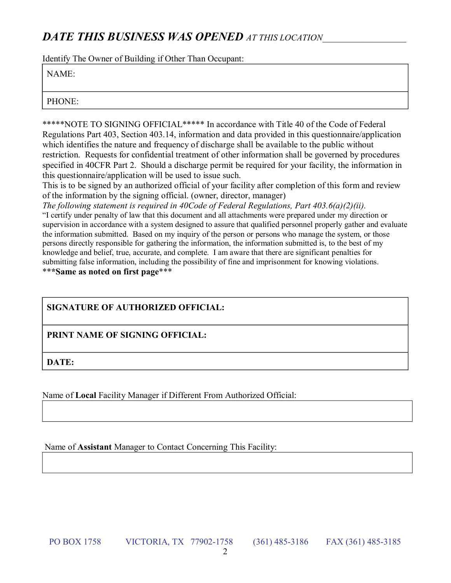# *DATE THIS BUSINESS WAS OPENED AT THIS LOCATION*\_\_\_\_\_\_\_\_\_\_\_\_\_\_\_\_\_\_\_

Identify The Owner of Building if Other Than Occupant:

#### NAME:

PHONE:

\*\*\*\*\*NOTE TO SIGNING OFFICIAL\*\*\*\*\* In accordance with Title 40 of the Code of Federal Regulations Part 403, Section 403.14, information and data provided in this questionnaire/application which identifies the nature and frequency of discharge shall be available to the public without restriction. Requests for confidential treatment of other information shall be governed by procedures specified in 40CFR Part 2. Should a discharge permit be required for your facility, the information in this questionnaire/application will be used to issue such.

This is to be signed by an authorized official of your facility after completion of this form and review of the information by the signing official. (owner, director, manager)

*The following statement is required in 40Code of Federal Regulations, Part 403.6(a)(2)(ii).* "I certify under penalty of law that this document and all attachments were prepared under my direction or supervision in accordance with a system designed to assure that qualified personnel properly gather and evaluate the information submitted. Based on my inquiry of the person or persons who manage the system, or those persons directly responsible for gathering the information, the information submitted is, to the best of my knowledge and belief, true, accurate, and complete. I am aware that there are significant penalties for submitting false information, including the possibility of fine and imprisonment for knowing violations. \*\***\*Same as noted on first page**\*\*\*

# **SIGNATURE OF AUTHORIZED OFFICIAL:**

# **PRINT NAME OF SIGNING OFFICIAL:**

**DATE:**

Name of **Local** Facility Manager if Different From Authorized Official:

Name of **Assistant** Manager to Contact Concerning This Facility:

PO BOX 1758 VICTORIA, TX 77902-1758 (361) 485-3186 FAX (361) 485-3185